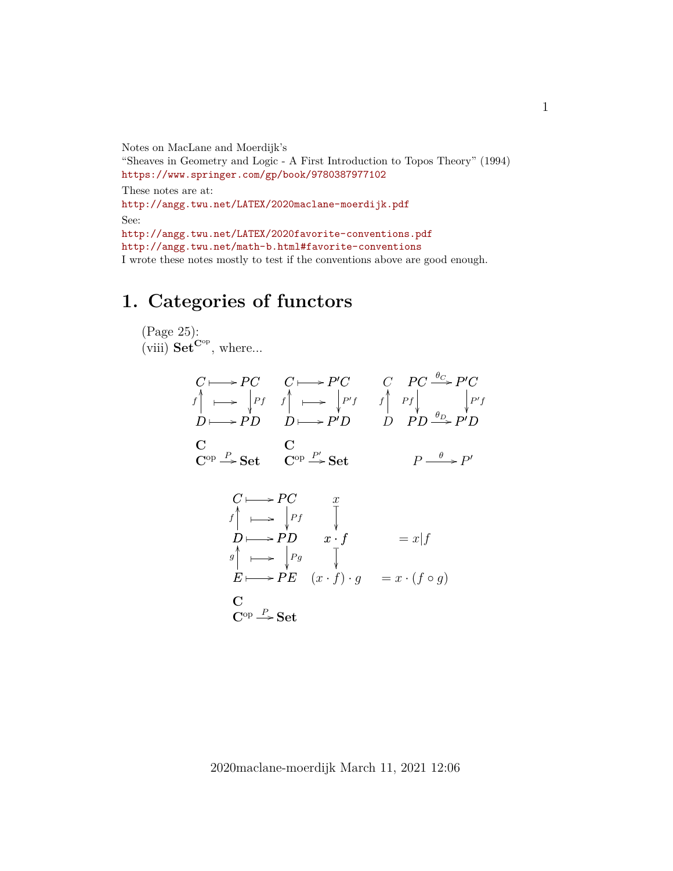Notes on MacLane and Moerdijk's "Sheaves in Geometry and Logic - A First Introduction to Topos Theory" (1994) <https://www.springer.com/gp/book/9780387977102> These notes are at: <http://angg.twu.net/LATEX/2020maclane-moerdijk.pdf> See: <http://angg.twu.net/LATEX/2020favorite-conventions.pdf> <http://angg.twu.net/math-b.html#favorite-conventions> I wrote these notes mostly to test if the conventions above are good enough.

# **1. Categories of functors**

 $C^{op} \rightarrow$  Set

(Page 25): (viii)  $\mathbf{Set}^{\mathbf{C}^{\mathrm{op}}}$ , where...

$$
C \longmapsto PC \quad C \longmapsto P'C \quad C \quad PC \xrightarrow{\theta_C} P'C
$$
  
\n
$$
f \longmapsto \begin{vmatrix} p_f & f \longmapsto \end{vmatrix} \longmapsto \begin{vmatrix} p'f & f \longmapsto f \end{vmatrix} \quad Ff \longmapsto \begin{vmatrix} p'f \ y'f \end{vmatrix}
$$
  
\n
$$
C \longmapsto PD \quad D \longmapsto P'D \quad D \quad PD \xrightarrow{\theta_D} P'D
$$
  
\n
$$
C \longmapsto PC \quad x
$$
  
\n
$$
f \longmapsto \begin{vmatrix} p_f & f \longmapsto \end{vmatrix} \rightarrow P'D \quad x \cdot f \longmapsto P'
$$
  
\n
$$
B \longmapsto \begin{vmatrix} p_g & f \longmapsto \end{vmatrix} \rightarrow F \rightarrow P'E \quad (x \cdot f) \cdot g = x \cdot (f \circ g)
$$
  
\nC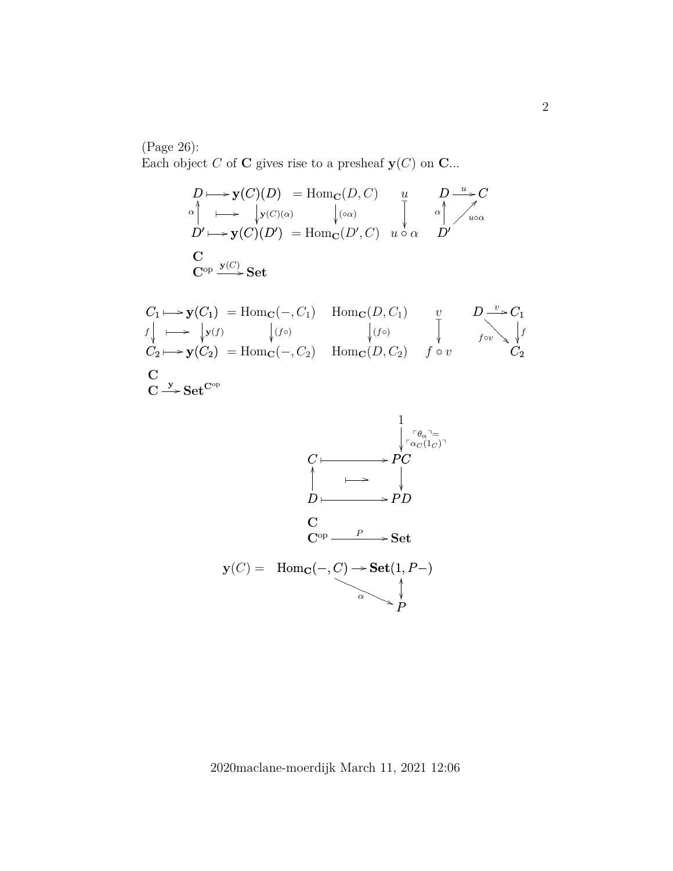(Page 26):

Each object C of C gives rise to a presheaf  $y(C)$  on C...

$$
D \mapsto \mathbf{y}(C)(D) = \text{Hom}_{\mathbf{C}}(D, C) \qquad u \qquad D \xrightarrow{u} C
$$
  
\n
$$
\alpha \qquad \qquad \downarrow \qquad \qquad \downarrow \qquad \qquad \downarrow \qquad \qquad \downarrow \qquad \qquad \downarrow \qquad \qquad \downarrow \qquad \qquad \downarrow \qquad \qquad \downarrow \qquad \qquad \downarrow \qquad \qquad \downarrow \qquad \qquad \downarrow \qquad \qquad \downarrow \qquad \qquad \downarrow \qquad \qquad \downarrow \qquad \qquad \downarrow \qquad \qquad \downarrow \qquad \qquad \downarrow \qquad \qquad \downarrow \qquad \qquad \downarrow \qquad \qquad \downarrow \qquad \qquad \downarrow \qquad \qquad \downarrow \qquad \qquad \downarrow \qquad \qquad \downarrow \qquad \qquad \downarrow \qquad \qquad \downarrow \qquad \qquad \downarrow \qquad \qquad \downarrow \qquad \qquad \downarrow \qquad \qquad \downarrow \qquad \qquad \downarrow \qquad \qquad \downarrow \qquad \qquad \downarrow \qquad \qquad \downarrow \qquad \qquad \downarrow \qquad \qquad \downarrow \qquad \qquad \downarrow \qquad \qquad \downarrow \qquad \qquad \downarrow \qquad \qquad \downarrow \qquad \qquad \downarrow \qquad \qquad \downarrow \qquad \qquad \downarrow \qquad \qquad \downarrow \qquad \qquad \downarrow \qquad \qquad \downarrow \qquad \qquad \downarrow \qquad \qquad \downarrow \qquad \qquad \downarrow \qquad \qquad \downarrow \qquad \qquad \downarrow \qquad \qquad \downarrow \qquad \qquad \downarrow \qquad \qquad \downarrow \qquad \qquad \downarrow \qquad \qquad \downarrow \qquad \qquad \downarrow \qquad \qquad \downarrow \qquad \qquad \downarrow \qquad \qquad \downarrow \qquad \qquad \downarrow \qquad \qquad \downarrow \qquad \qquad \downarrow \qquad \qquad \downarrow \qquad \qquad \downarrow \qquad \qquad \downarrow \qquad \qquad \downarrow \qquad \qquad \downarrow \qquad \qquad \downarrow \qquad \qquad \downarrow \qquad \qquad \downarrow \qquad \qquad \downarrow \qquad \qquad \downarrow \qquad \qquad \downarrow \qquad \qquad \downarrow \qquad \qquad \downarrow \qquad \qquad \downarrow \qquad \qquad \
$$

$$
C_1 \longmapsto \mathbf{y}(C_1) = \text{Hom}_{\mathbf{C}}(-, C_1) \quad \text{Hom}_{\mathbf{C}}(D, C_1) \qquad v \qquad D \stackrel{v}{\longrightarrow} C_1
$$
  
\n
$$
f \downarrow \longmapsto \qquad \qquad \downarrow (f \circ) \qquad \qquad \downarrow (f \circ)
$$
  
\n
$$
C_2 \longmapsto \mathbf{y}(C_2) = \text{Hom}_{\mathbf{C}}(-, C_2) \quad \text{Hom}_{\mathbf{C}}(D, C_2) \qquad f \circ v \qquad \qquad C_2
$$
  
\n
$$
\mathbf{C} \qquad \qquad \mathbf{C} \stackrel{\mathbf{y}}{\longrightarrow} \mathbf{Set}^{\mathbf{C}^{\mathrm{op}}}
$$

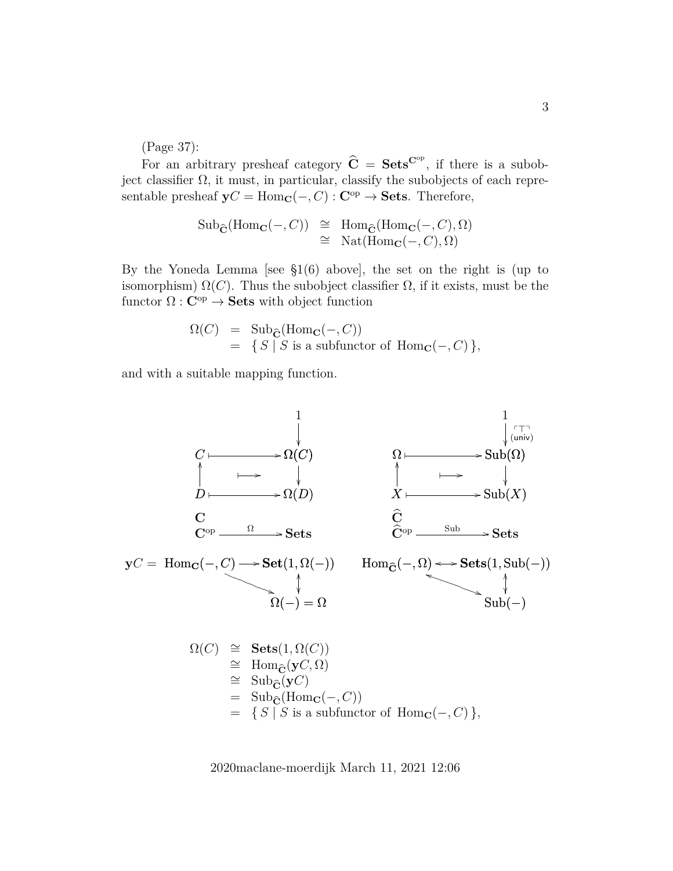(Page 37):

For an arbitrary presheaf category  $\hat{C} = \textbf{Sets}^{\text{C}^{\text{op}}}$ , if there is a subobject classifier  $\Omega$ , it must, in particular, classify the subobjects of each representable presheaf  $yC = Hom_C(-, C) : C^{op} \to \textbf{Sets}$ . Therefore,

$$
\text{Sub}_{\widehat{\mathbf{C}}}(\text{Hom}_{\mathbf{C}}(-, C)) \cong \text{Hom}_{\widehat{\mathbf{C}}}(\text{Hom}_{\mathbf{C}}(-, C), \Omega)
$$
  

$$
\cong \text{Nat}(\text{Hom}_{\mathbf{C}}(-, C), \Omega)
$$

By the Yoneda Lemma [see  $\S1(6)$  above], the set on the right is (up to isomorphism)  $\Omega(C)$ . Thus the subobject classifier  $\Omega$ , if it exists, must be the functor  $\Omega : \mathbf{C}^\mathrm{op} \to \mathbf{Sets}$  with object function

$$
\Omega(C) = \text{Sub}_{\widehat{\mathbf{C}}}(\text{Hom}_{\mathbf{C}}(-, C))
$$
  
= {S | S is a subfunctor of Hom<sub>**C**</sub>(-, C)},

and with a suitable mapping function.

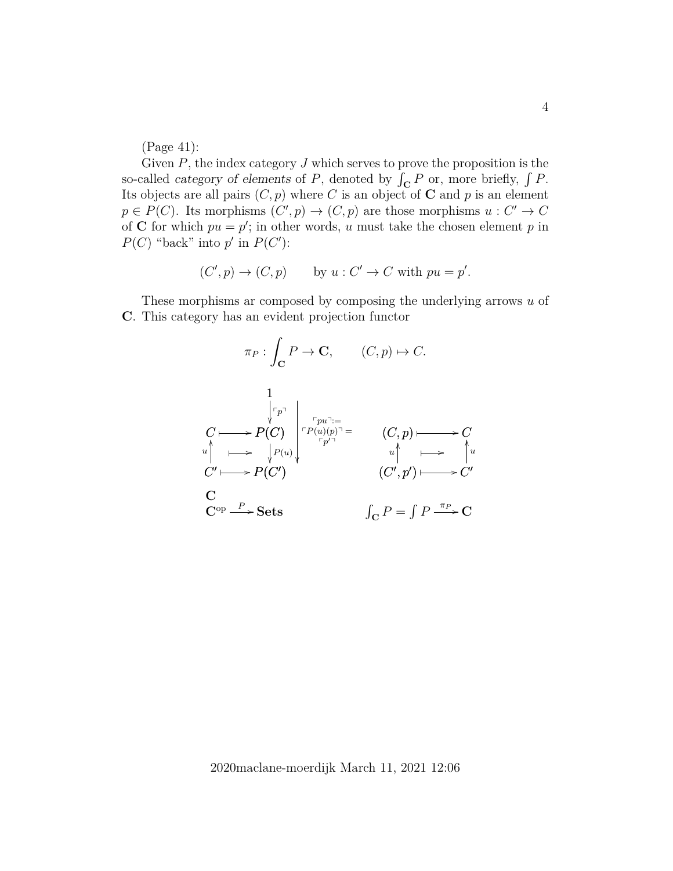(Page 41):

Given  $P$ , the index category  $J$  which serves to prove the proposition is the so-called *category of elements* of  $P$ , denoted by  $\int_{\mathbf{C}} P$  or, more briefly,  $\int P$ . Its objects are all pairs  $(C, p)$  where C is an object of **C** and p is an element  $p \in P(C)$ . Its morphisms  $(C', p) \to (C, p)$  are those morphisms  $u : C' \to C$ of C for which  $pu = p'$ ; in other words, u must take the chosen element p in  $P(C)$  "back" into p' in  $P(C')$ :

$$
(C', p) \rightarrow (C, p)
$$
 by  $u : C' \rightarrow C$  with  $pu = p'$ .

These morphisms ar composed by composing the underlying arrows  $u$  of C. This category has an evident projection functor

$$
\pi_P: \int_{\mathbf{C}} P \to \mathbf{C}, \qquad (C, p) \mapsto C.
$$
\n
$$
\downarrow \qquad \qquad \downarrow \qquad \qquad \downarrow \qquad \downarrow \qquad \downarrow \qquad \downarrow \qquad \downarrow \qquad \downarrow \qquad \downarrow \qquad \downarrow \qquad \downarrow \qquad \downarrow \qquad \downarrow \qquad \downarrow \qquad \downarrow \qquad \downarrow \qquad \downarrow \qquad \downarrow \qquad \downarrow \qquad \downarrow \qquad \downarrow \qquad \downarrow \qquad \downarrow \qquad \downarrow \qquad \downarrow \qquad \downarrow \qquad \downarrow \qquad \downarrow \qquad \downarrow \qquad \downarrow \qquad \downarrow \qquad \downarrow \qquad \downarrow \qquad \downarrow \qquad \downarrow \qquad \downarrow \qquad \downarrow \qquad \downarrow \qquad \downarrow \qquad \downarrow \qquad \downarrow \qquad \downarrow \qquad \downarrow \qquad \downarrow \qquad \downarrow \qquad \downarrow \qquad \downarrow \qquad \downarrow \qquad \downarrow \qquad \downarrow \qquad \downarrow \qquad \downarrow \qquad \downarrow \qquad \downarrow \qquad \downarrow \qquad \downarrow \qquad \downarrow \qquad \downarrow \qquad \downarrow \qquad \downarrow \qquad \downarrow \qquad \downarrow \qquad \downarrow \qquad \downarrow \qquad \downarrow \qquad \downarrow \qquad \downarrow \qquad \downarrow \qquad \downarrow \qquad \downarrow \qquad \downarrow \qquad \downarrow \qquad \downarrow \qquad \downarrow \qquad \downarrow \qquad \downarrow \qquad \downarrow \qquad \downarrow \qquad \downarrow \qquad \downarrow \qquad \downarrow \qquad \downarrow \qquad \downarrow \qquad \downarrow \qquad \downarrow \qquad \downarrow \qquad \downarrow \qquad \downarrow \qquad \downarrow \qquad \downarrow \qquad \downarrow \qquad \downarrow \qquad \downarrow \qquad \downarrow \qquad \downarrow \qquad \downarrow \qquad \downarrow \qquad \downarrow \qquad \downarrow \qquad \downarrow \qquad \downarrow \qquad \downarrow \qquad \downarrow \qquad \downarrow \qquad \downarrow \qquad \downarrow \qquad \downarrow \qquad \downarrow \qquad \downarrow \qquad \downarrow \qquad \downarrow \qquad \downarrow \qquad \downarrow \qquad \downarrow \qquad \downarrow \qquad \downarrow \qquad \downarrow \qquad \downarrow \qquad \downarrow
$$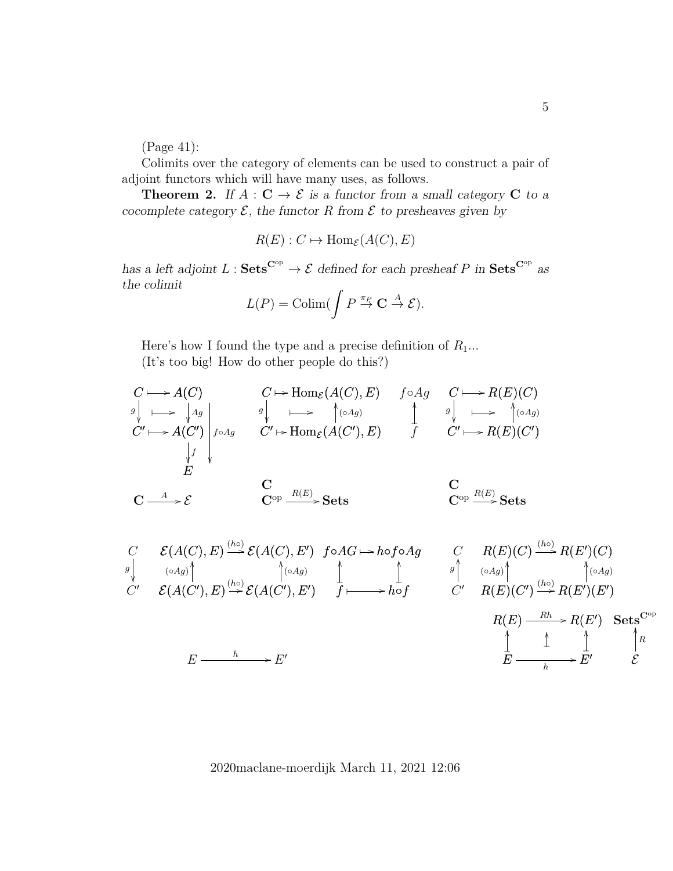(Page 41):

Colimits over the category of elements can be used to construct a pair of adjoint functors which will have many uses, as follows.

**Theorem 2.** If  $A : \mathbf{C} \to \mathcal{E}$  is a functor from a small category  $\mathbf{C}$  to a cocomplete category  $\mathcal{E}$ , the functor R from  $\mathcal{E}$  to presheaves given by

$$
R(E): C \mapsto \text{Hom}_{\mathcal{E}}(A(C), E)
$$

has a left adjoint  $L : \mathbf{Sets}^{\mathbf{C}^{\mathrm{op}}} \to \mathcal{E}$  defined for each presheaf P in  $\mathbf{Sets}^{\mathbf{C}^{\mathrm{op}}}$  as the colimit

$$
L(P) = \operatorname{Colim}(\int P \stackrel{\pi_P}{\to} \mathbf{C} \stackrel{A}{\to} \mathcal{E}).
$$

Here's how I found the type and a precise definition of  $R_1...$ 

(It's too big! How do other people do this?)

$$
C \longmapsto A(C)
$$
\n
$$
g \downarrow \longmapsto \downarrow g
$$
\n
$$
G' \longmapsto A(G')
$$
\n
$$
g \downarrow \longmapsto \uparrow g
$$
\n
$$
G' \longmapsto A(C')
$$
\n
$$
f \circ Ag
$$
\n
$$
G' \longmapsto A(C')
$$
\n
$$
f \downarrow f
$$
\n
$$
E
$$
\n
$$
G \longrightarrow E
$$
\n
$$
G \longrightarrow E
$$
\n
$$
G \longrightarrow E
$$
\n
$$
G \longrightarrow E
$$
\n
$$
G \longrightarrow E
$$
\n
$$
G \longrightarrow E
$$
\n
$$
G \longrightarrow E
$$
\n
$$
G \longrightarrow E
$$
\n
$$
G \longrightarrow E
$$
\n
$$
G \longrightarrow E
$$
\n
$$
G \longrightarrow E
$$
\n
$$
G \longrightarrow E
$$
\n
$$
G \longrightarrow E
$$
\n
$$
G \longrightarrow E
$$
\n
$$
G \longrightarrow E
$$
\n
$$
G \longrightarrow E
$$
\n
$$
G \longrightarrow E
$$
\n
$$
G \longrightarrow E
$$
\n
$$
G \longrightarrow E
$$
\n
$$
G \longrightarrow E
$$
\n
$$
G \longrightarrow E
$$
\n
$$
G \longrightarrow E
$$
\n
$$
G \longrightarrow E
$$
\n
$$
G \longrightarrow E
$$
\n
$$
G \longrightarrow E
$$
\n
$$
G \longrightarrow E
$$
\n
$$
G \longrightarrow E
$$
\n
$$
G \longrightarrow E
$$
\n
$$
G \longrightarrow E
$$
\n
$$
G \longrightarrow E
$$
\n
$$
G \longrightarrow E
$$
\n
$$
G \longrightarrow E
$$
\n
$$
G \longrightarrow E
$$
\n
$$
G \longrightarrow E
$$
\n
$$
G \longrightarrow E
$$
\n
$$
G \longrightarrow E
$$
\n
$$
G \longrightarrow E
$$
\n
$$
G \longrightarrow E
$$
\n
$$
G \longrightarrow E
$$
\n
$$
G \longrightarrow E
$$
\n
$$
G \longrightarrow E
$$
\n
$$
G \longrightarrow E
$$
\n
$$
G \longrightarrow E
$$
\n
$$
G \
$$

C C 0 g E(A(C), E) E(A(C), E<sup>0</sup> ) (h◦) / E(A(C 0 ), E) OO (◦Ag) E(A(C 0 ), E<sup>0</sup> ) OO (◦Ag) (h◦) / E E <sup>h</sup> / <sup>0</sup> f◦AG h◦f◦Ag ✤ / AG f OO ❴ h◦f OO ❴ f ✤ / C C 0 OO g R(E)(C) R(E 0 )(C) (h◦) / R(E)(C 0 ) OO (◦Ag) R(E 0 )(E 0 ) OO (◦Ag) (h◦) / R(E) R(E 0 ) Rh / E OO ❴ E 0 OO ❴ E <sup>h</sup> / OO ❴ Sets<sup>C</sup>op E OO R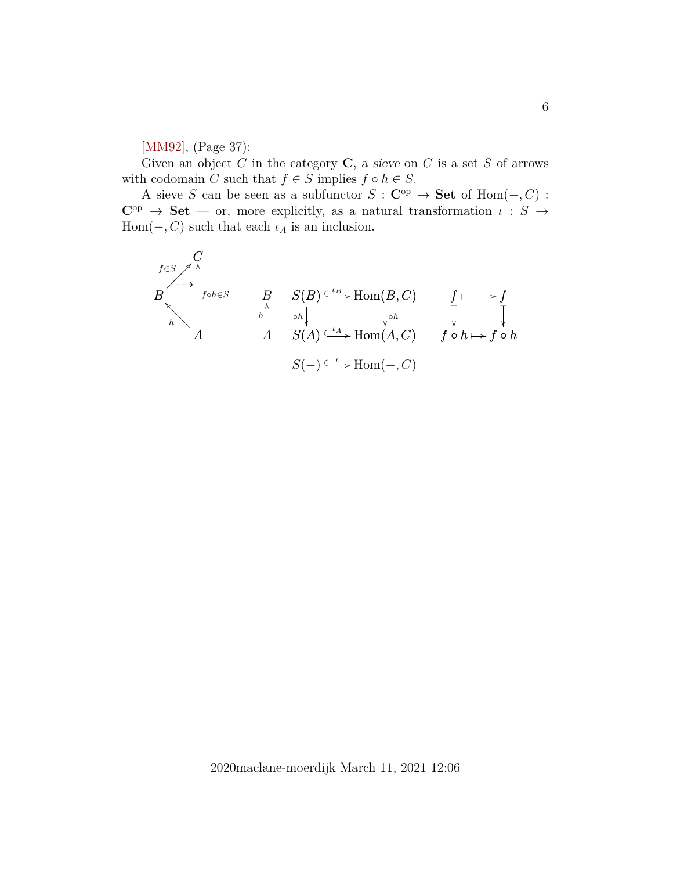[\[MM92\]](#page-18-0), (Page 37):

Given an object C in the category  $C$ , a sieve on C is a set S of arrows with codomain C such that  $f \in S$  implies  $f \circ h \in S$ .

A sieve S can be seen as a subfunctor  $S : \mathbf{C}^{op} \to \mathbf{Set}$  of  $\text{Hom}(-, C)$ :  $C^{op} \rightarrow Set$  — or, more explicitly, as a natural transformation  $\iota : S \rightarrow$ Hom( $-, C$ ) such that each  $\iota_A$  is an inclusion.

$$
B\n\begin{matrix}\nC \\
\downarrow \\
\downarrow \\
h\n\end{matrix}\n\begin{matrix}\nC \\
f \circ h \in S \\
h\n\end{matrix}\n\qquad\n\begin{matrix}\nB & S(B) \xrightarrow{\iota B} \text{Hom}(B, C) & f \longmapsto f \\
h \circ h \downarrow & \downarrow \circ h \\
A & S(A) \xrightarrow{\iota A} \text{Hom}(A, C) & f \circ h \longmapsto f \circ h \\
S(-) \xrightarrow{\iota} \text{Hom}(-, C)\n\end{matrix}
$$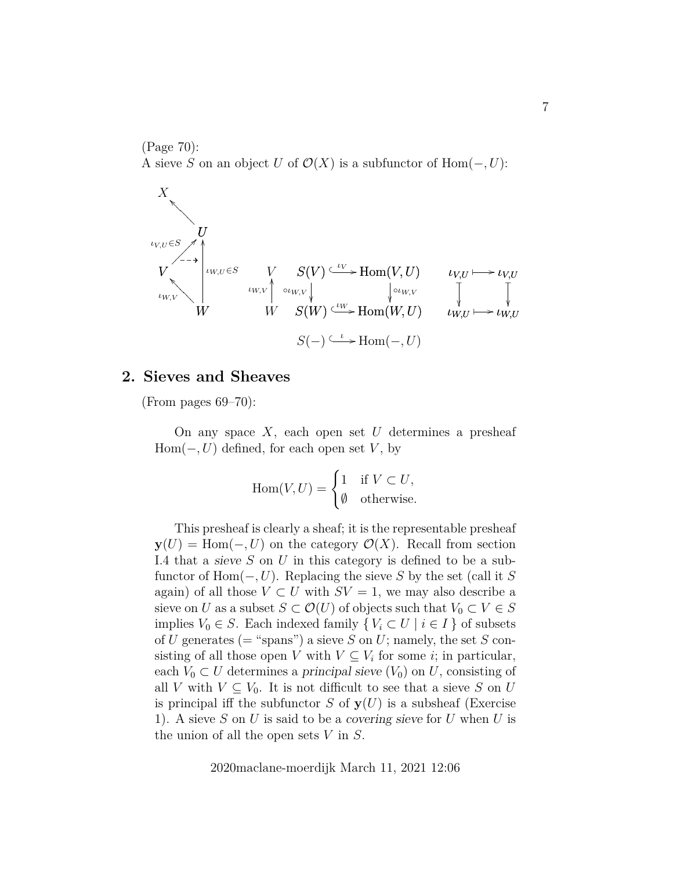(Page 70): A sieve S on an object U of  $\mathcal{O}(X)$  is a subfunctor of Hom $(-, U)$ :



#### **2. Sieves and Sheaves**

(From pages  $69-70$ ):

On any space  $X$ , each open set  $U$  determines a presheaf  $Hom(-, U)$  defined, for each open set V, by

$$
\operatorname{Hom}(V, U) = \begin{cases} 1 & \text{if } V \subset U, \\ \emptyset & \text{otherwise.} \end{cases}
$$

This presheaf is clearly a sheaf; it is the representable presheaf  $y(U) = \text{Hom}(-, U)$  on the category  $\mathcal{O}(X)$ . Recall from section I.4 that a sieve  $S$  on  $U$  in this category is defined to be a subfunctor of Hom( $-, U$ ). Replacing the sieve S by the set (call it S again) of all those  $V \subset U$  with  $SV = 1$ , we may also describe a sieve on U as a subset  $S \subset \mathcal{O}(U)$  of objects such that  $V_0 \subset V \in S$ implies  $V_0 \in S$ . Each indexed family  $\{V_i \subset U \mid i \in I\}$  of subsets of U generates (= "spans") a sieve S on U; namely, the set S consisting of all those open V with  $V \subseteq V_i$  for some *i*; in particular, each  $V_0 \subset U$  determines a principal sieve  $(V_0)$  on U, consisting of all V with  $V \subseteq V_0$ . It is not difficult to see that a sieve S on U is principal iff the subfunctor S of  $y(U)$  is a subsheaf (Exercise 1). A sieve S on U is said to be a covering sieve for U when U is the union of all the open sets  $V$  in  $S$ .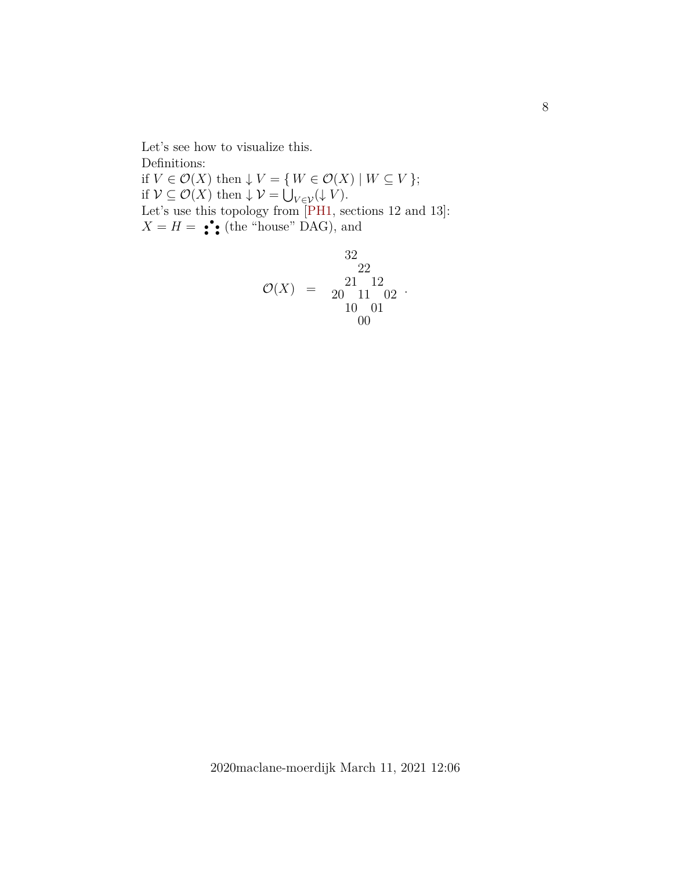Let's see how to visualize this. Definitions: if  $V \in \mathcal{O}(X)$  then  $\downarrow V = \{ W \in \mathcal{O}(X) \mid W \subseteq V \};$ if  $\mathcal{V} \subseteq \mathcal{O}(X)$  then  $\downarrow \mathcal{V} = \bigcup_{V \in \mathcal{V}} (\downarrow V)$ . Let's use this topology from [\[PH1,](#page-18-1) sections 12 and 13]:  $X = H = \begin{bmatrix} \cdot \\ \cdot \\ \cdot \end{bmatrix}$  (the "house" DAG), and

$$
\begin{array}{rcl} & & 32\\ \mathcal{O}(X) & = & \begin{array}{c} 21 & 12\\ 20 & 11 & 02\\ 10 & 01 \end{array} \\ & & 10001 \end{array}.
$$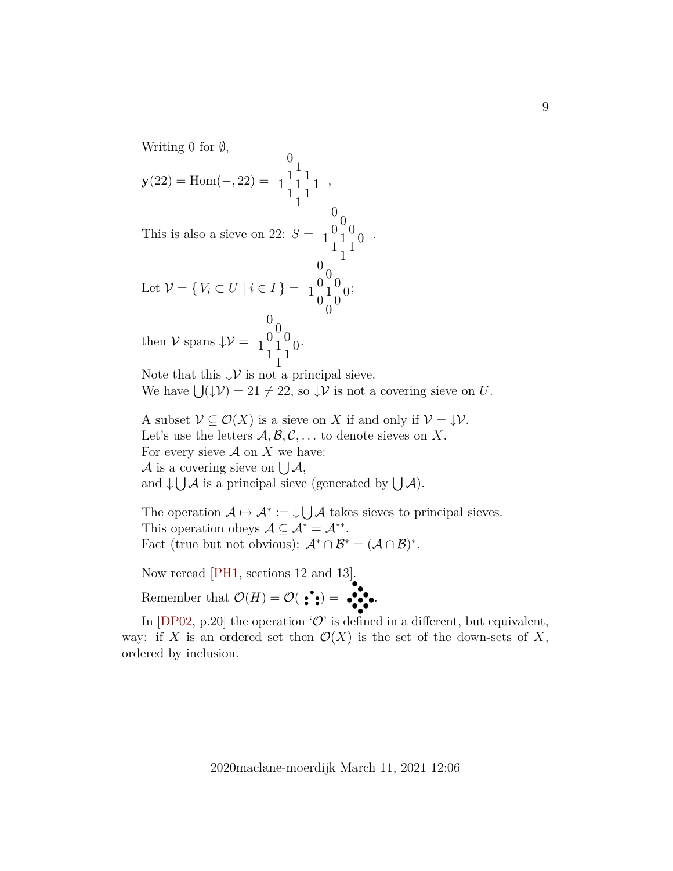Writing 0 for  $\emptyset$ ,

$$
\mathbf{y}(22) = \text{Hom}(-, 22) = \begin{bmatrix} 0 \\ 1 \\ 1 \\ 1 \end{bmatrix} \begin{bmatrix} 1 \\ 1 \\ 1 \end{bmatrix},
$$

This is also a sieve on 22:  $S =$  $\begin{smallmatrix} 0 & 0 \\ 0 & 0 \\ 1 & 1 \\ 1 & 1 \end{smallmatrix}$ 

Let 
$$
\mathcal{V} = \{ V_i \subset U \mid i \in I \} = \begin{pmatrix} 0 \\ 0 \\ 0 \\ 0 \\ 0 \end{pmatrix} = 0
$$
  
then  $\mathcal{V}$  spans  $\downarrow \mathcal{V} = \begin{pmatrix} 0 \\ 0 \\ 1 \\ 0 \\ 0 \end{pmatrix} = \begin{pmatrix} 0 \\ 0 \\ 1 \\ 0 \\ 0 \end{pmatrix}$ 

then  $V$  spans  $\downarrow \mathcal{V} =$  $\begin{smallmatrix}0&0\0&1\1&1\end{smallmatrix}$ 

Note that this  $\downarrow \mathcal{V}$  is not a principal sieve. We have  $\bigcup (\downarrow \mathcal{V}) = 21 \neq 22$ , so  $\downarrow \mathcal{V}$  is not a covering sieve on U.

.

A subset  $\mathcal{V} \subseteq \mathcal{O}(X)$  is a sieve on X if and only if  $\mathcal{V} = \mathcal{V}$ . Let's use the letters  $\mathcal{A}, \mathcal{B}, \mathcal{C}, \ldots$  to denote sieves on X. For every sieve  $A$  on  $X$  we have: A is a covering sieve on  $\bigcup \mathcal{A},$ and  $\downarrow \bigcup \mathcal{A}$  is a principal sieve (generated by  $\bigcup \mathcal{A}$ ).

The operation  $\mathcal{A} \mapsto \mathcal{A}^* := \cup \cup \mathcal{A}$  takes sieves to principal sieves. This operation obeys  $\mathcal{A} \subseteq \mathcal{A}^* = \mathcal{A}^{**}$ . Fact (true but not obvious):  $\mathcal{A}^* \cap \mathcal{B}^* = (\mathcal{A} \cap \mathcal{B})^*$ .

Now reread [\[PH1,](#page-18-1) sections 12 and 13].

Remember that  $\mathcal{O}(H) = \mathcal{O}(\bullet \bullet)$ • •<br>•<br>• • • • • • •.

In  $[DP02, p.20]$  the operation 'O' is defined in a different, but equivalent, way: if X is an ordered set then  $\mathcal{O}(X)$  is the set of the down-sets of X, ordered by inclusion.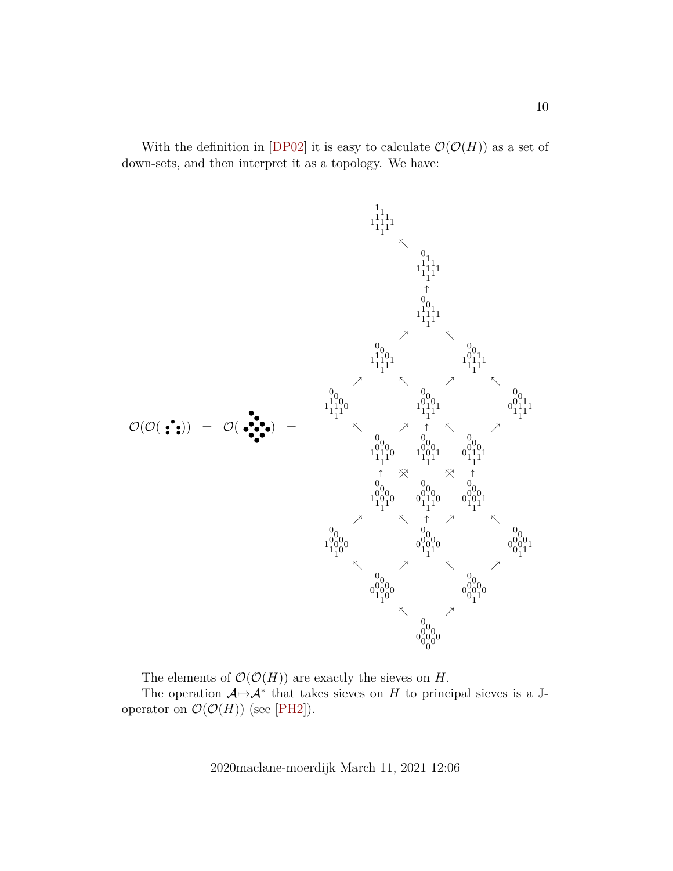With the definition in [\[DP02\]](#page-18-2) it is easy to calculate  $\mathcal{O}(\mathcal{O}(H))$  as a set of down-sets, and then interpret it as a topology. We have:



The elements of  $\mathcal{O}(\mathcal{O}(H))$  are exactly the sieves on H.

The operation  $A \rightarrow A^*$  that takes sieves on H to principal sieves is a Joperator on  $\mathcal{O}(\mathcal{O}(H))$  (see [\[PH2\]](#page-18-3)).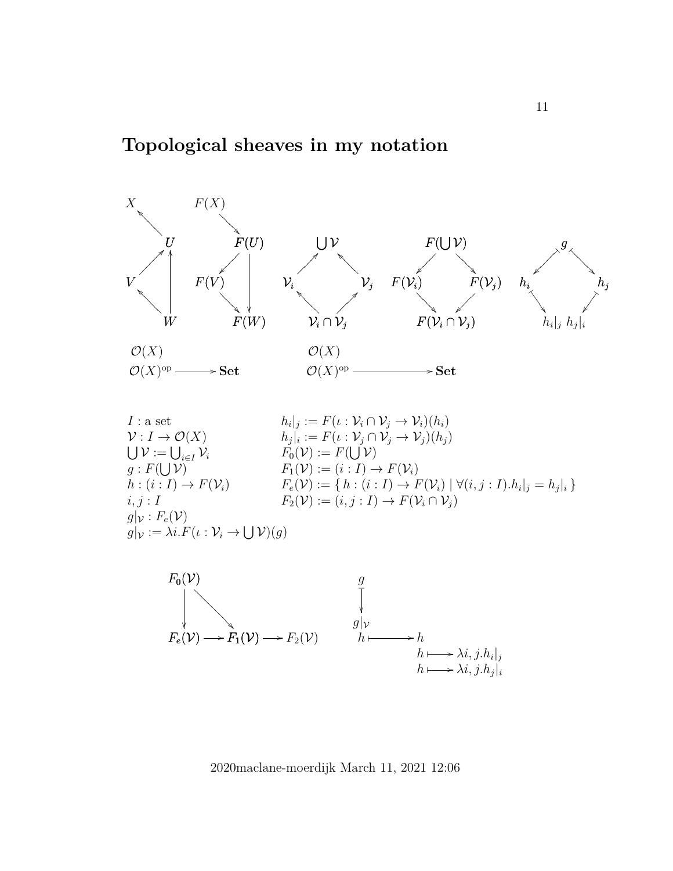

 $I:$  a set  $\mathcal{V}: I \to \mathcal{O}(X)$  $\bigcup \mathcal{V} := \bigcup_{i \in I} \mathcal{V}_i$  $g: F(\bigcup \mathcal{V})$  $h:(i:I)\to F(\mathcal{V}_i)$  $i, j: I$  $g|_{\mathcal{V}}$  :  $F_e(\mathcal{V})$  $g|_{\mathcal{V}} := \lambda i.F(\iota : \mathcal{V}_i \to \bigcup \mathcal{V})(g)$  $|h_i|_j := F(\iota : \mathcal{V}_i \cap \mathcal{V}_j \to \mathcal{V}_i)(h_i)$  $|h_j|_i := F(\iota : \mathcal{V}_j \cap \mathcal{V}_j \to \mathcal{V}_j)(h_j)$  $F_0(\mathcal{V}) := F(\bigcup \mathcal{V})$  $F_1(\mathcal{V}) := (i : I) \rightarrow F(\mathcal{V}_i)$  $F_e(\mathcal{V}) := \{ h : (i : I) \to F(\mathcal{V}_i) \mid \forall (i, j : I) . h_i |_j = h_j |_i \}$  $F_2(\mathcal{V}) := (i, j : I) \rightarrow F(\mathcal{V}_i \cap \mathcal{V}_j)$ 

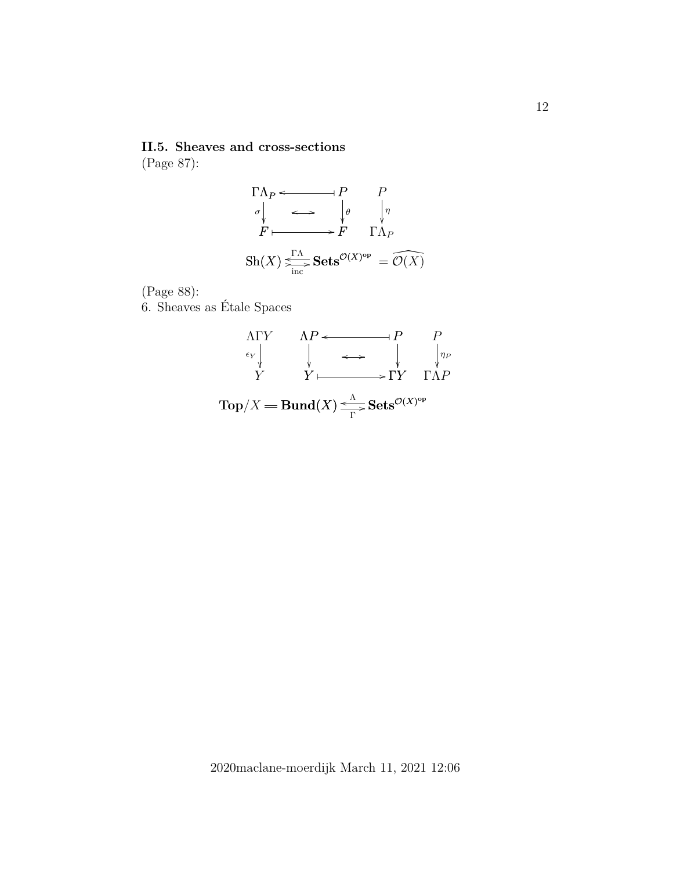**II.5. Sheaves and cross-sections** (Page 87):

ΓΛ<sup>P</sup> o P F σ F θ o / F ✤ / Sh(X) Sets<sup>O</sup>(X) o ΓΛ op / inc / <sup>=</sup> <sup>O</sup>\(X) P ΓΛ<sup>P</sup> η 

(Page 88):

6. Sheaves as Étale Spaces

ΛP P o ✤ P Y ΓY o / ✤ / Top/X Bund(X) Sets<sup>O</sup>(X) o Λ op Γ / P ΓΛP η<sup>P</sup> ΛΓY Y Y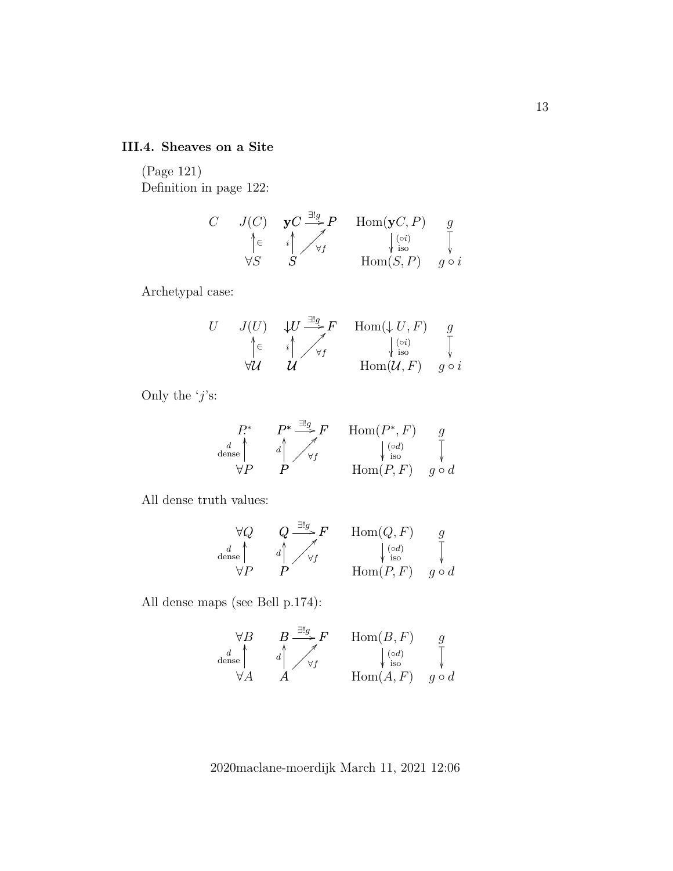### **III.4. Sheaves on a Site**

(Page 121) Definition in page 122:

$$
\begin{array}{ccc}\nC & J(C) & \mathbf{y} & \mathbf{y} & \mathbf{y} & \text{Hom}(\mathbf{y} & C, P) & g \\
\uparrow & \leftarrow & \leftarrow & \downarrow & \downarrow & \downarrow \\
\forall S & S & \text{Hom}(S, P) & g \circ i\n\end{array}
$$

Archetypal case:

U J(U) ∀U OO ∈ ↓U F <sup>∃</sup>!<sup>g</sup> / U U OO i ∀f ?⑧⑧⑧⑧⑧⑧⑧ Hom(↓ U, F) Hom(U, F) (◦i) iso g g ◦ i ❴ 

Only the ' $j$ 's:

$$
\begin{array}{ccc}\n P^* & P^* \xrightarrow{\exists ! g} F & \text{Hom}(P^*, F) & g \\
\downarrow d & \searrow d & \searrow f & \downarrow \text{iso} \\
\forall P & P & \text{Hom}(P, F) & g \circ d\n\end{array}
$$

All dense truth values:

$$
\forall Q \qquad Q \xrightarrow{\exists!g} F \qquad \text{Hom}(Q, F) \qquad g
$$
  
dense\n
$$
\forall P \qquad P \qquad \qquad \downarrow \text{iso} \qquad \qquad \downarrow
$$
  

$$
\forall P \qquad P \qquad \qquad \text{Hom}(P, F) \qquad g \circ d
$$

All dense maps (see Bell p.174):

$$
\forall B \qquad B \xrightarrow{ \exists ! g \atop d \text{ dense} } F \qquad \text{Hom}(B, F) \qquad g \atop \forall A \qquad A \qquad \qquad \downarrow \text{ (od)} \qquad \qquad \downarrow \text{ iso} \qquad \qquad \downarrow \text{ so} \qquad \qquad \downarrow
$$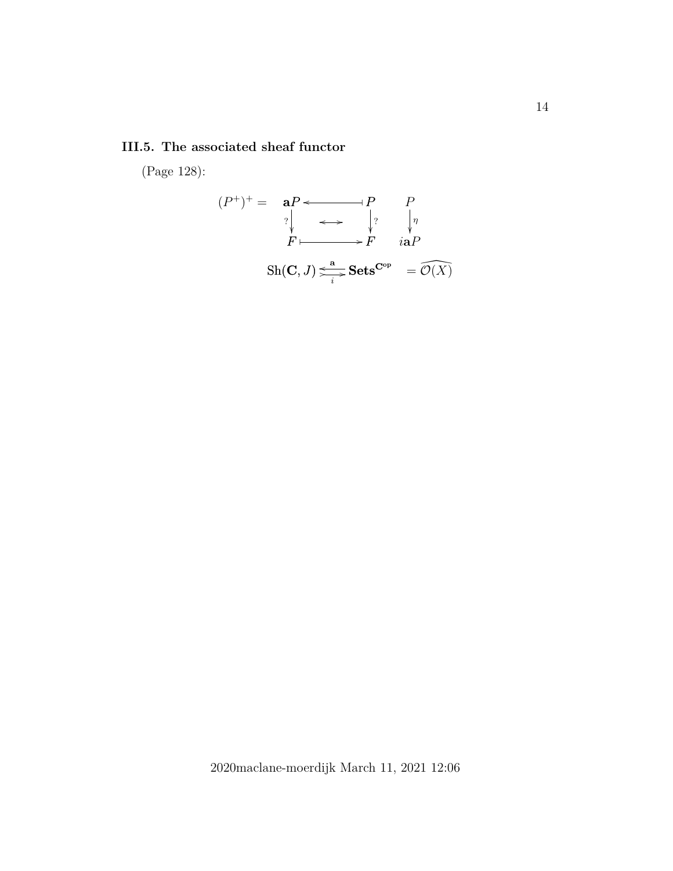### **III.5. The associated sheaf functor**

(Page 128):

aP P o ✤ P F ? F ? o / F ✤ / Sh(C, J) Sets o <sup>a</sup> <sup>C</sup>op / i / (P +) <sup>+</sup> = <sup>=</sup> <sup>O</sup>\(X) P iaP η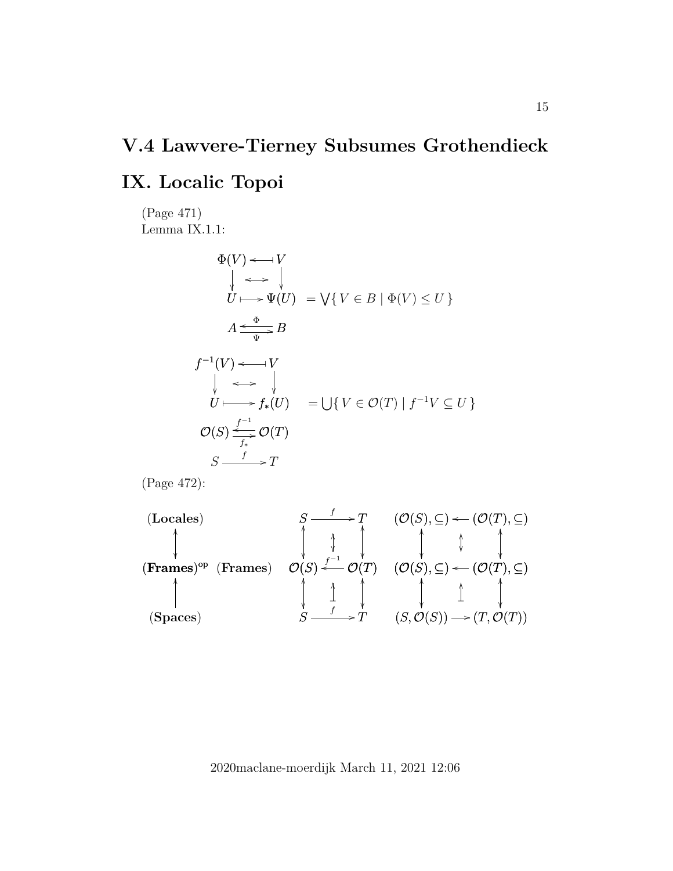## **V.4 Lawvere-Tierney Subsumes Grothendieck**

## **IX. Localic Topoi**

(Page 471) Lemma IX.1.1:

$$
\Phi(V) \leftarrow V
$$
\n
$$
\downarrow \leftrightarrow \downarrow
$$
\n
$$
U \longmapsto \Psi(U) = \bigvee \{ V \in B \mid \Phi(V) \le U \}
$$
\n
$$
A \xrightarrow{\Phi} B
$$
\n
$$
f^{-1}(V) \leftarrow V
$$
\n
$$
\downarrow \leftrightarrow \downarrow
$$
\n
$$
U \longmapsto f_*(U) = \bigcup \{ V \in \mathcal{O}(T) \mid f^{-1}V \subseteq U \}
$$
\n
$$
\mathcal{O}(S) \xrightarrow{f^{-1}}_{f_*} \mathcal{O}(T)
$$
\n
$$
S \xrightarrow{f} T
$$

(Page 472):

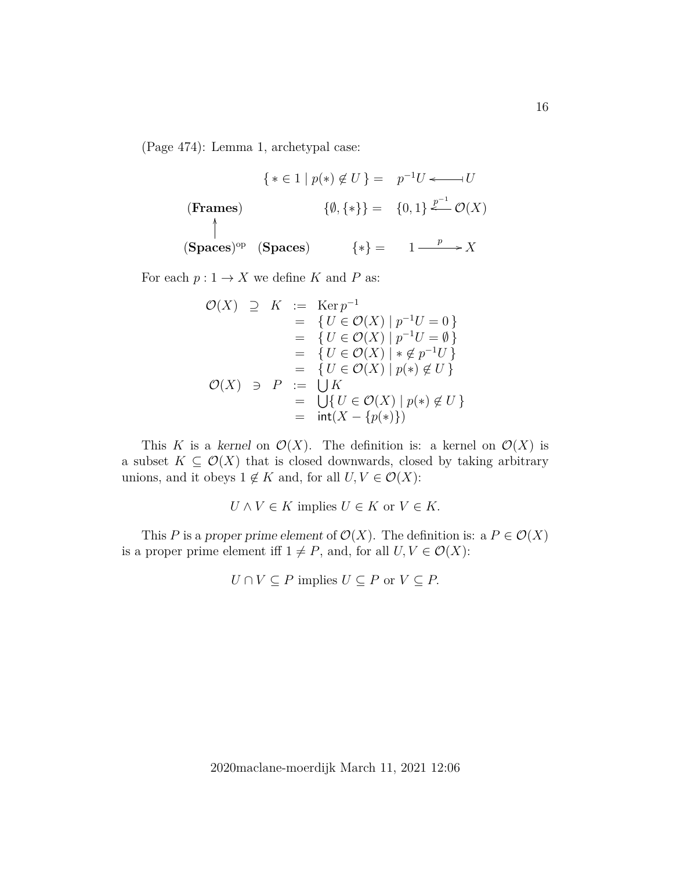(Page 474): Lemma 1, archetypal case:

$$
\{ * \in 1 \mid p(*) \notin U \} = p^{-1}U \longleftarrow U
$$
\n(\text{Frames})

\n
$$
\{ \emptyset, \{ * \} \} = \{ 0, 1 \} \stackrel{p^{-1}}{\longleftarrow} \mathcal{O}(X)
$$
\n
$$
\langle \text{Spaces} \rangle^{\text{op}} \quad (\text{Spaces}) \qquad \{ * \} = 1 \stackrel{p}{\longrightarrow} X
$$

For each  $p: 1 \to X$  we define K and P as:

$$
\begin{array}{rcl}\n\mathcal{O}(X) & \supseteq & K & := & \text{Ker } p^{-1} \\
 & = & \{ U \in \mathcal{O}(X) \mid p^{-1}U = 0 \} \\
 & = & \{ U \in \mathcal{O}(X) \mid p^{-1}U = \emptyset \} \\
 & = & \{ U \in \mathcal{O}(X) \mid * \notin p^{-1}U \} \\
 & = & \{ U \in \mathcal{O}(X) \mid p(*) \notin U \} \\
 & = & \{ U \in \mathcal{O}(X) \mid p(*) \notin U \} \\
 & = & \bigcup \{ U \in \mathcal{O}(X) \mid p(*) \notin U \} \\
 & = & \inf (X - \{p(*)\})\n\end{array}
$$

This K is a kernel on  $\mathcal{O}(X)$ . The definition is: a kernel on  $\mathcal{O}(X)$  is a subset  $K \subseteq \mathcal{O}(X)$  that is closed downwards, closed by taking arbitrary unions, and it obeys  $1 \notin K$  and, for all  $U, V \in \mathcal{O}(X)$ :

 $U \wedge V \in K$  implies  $U \in K$  or  $V \in K$ .

This P is a proper prime element of  $\mathcal{O}(X)$ . The definition is: a  $P \in \mathcal{O}(X)$ is a proper prime element iff  $1 \neq P$ , and, for all  $U, V \in \mathcal{O}(X)$ :

$$
U \cap V \subseteq P
$$
 implies  $U \subseteq P$  or  $V \subseteq P$ .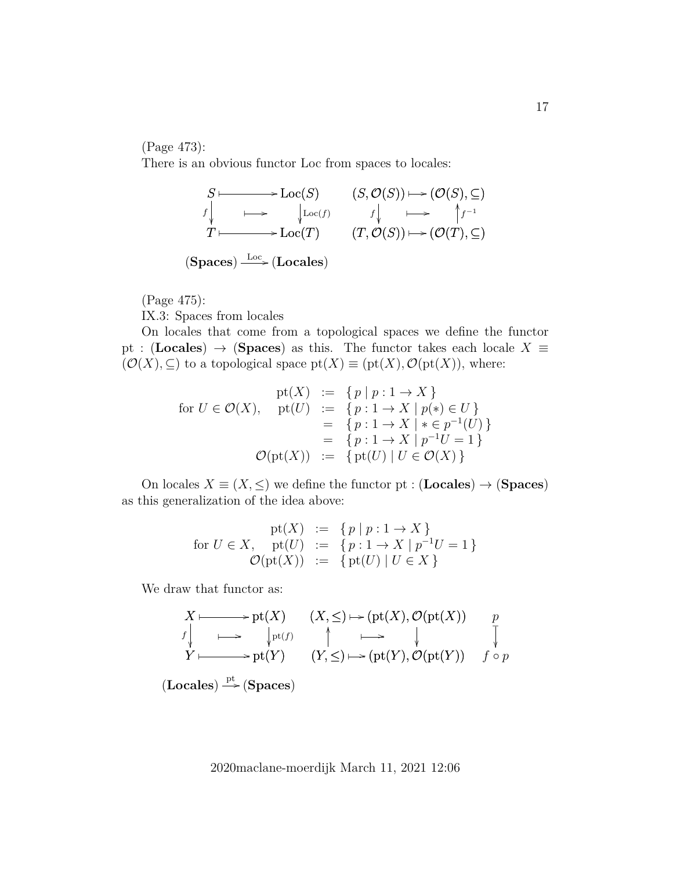(Page 473):

There is an obvious functor Loc from spaces to locales:



(Page 475):

IX.3: Spaces from locales

On locales that come from a topological spaces we define the functor pt : (Locales)  $\rightarrow$  (Spaces) as this. The functor takes each locale  $X \equiv$  $(\mathcal{O}(X), \subseteq)$  to a topological space  $pt(X) \equiv (pt(X), \mathcal{O}(pt(X)),$  where:

$$
\begin{array}{rcl}\n\text{pt}(X) & := & \{ p \mid p : 1 \to X \} \\
\text{for } U \in \mathcal{O}(X), & \text{pt}(U) & := & \{ p : 1 \to X \mid p(*) \in U \} \\
& = & \{ p : 1 \to X \mid * \in p^{-1}(U) \} \\
& = & \{ p : 1 \to X \mid p^{-1}U = 1 \} \\
& \mathcal{O}(\text{pt}(X)) & := & \{ \text{pt}(U) \mid U \in \mathcal{O}(X) \}\n\end{array}
$$

On locales  $X \equiv (X, \leq)$  we define the functor pt : (Locales)  $\rightarrow$  (Spaces) as this generalization of the idea above:

$$
\begin{array}{rcl}\n\text{pt}(X) & := & \{ p \mid p : 1 \to X \} \\
\text{for } U \in X, \quad \text{pt}(U) & := & \{ p : 1 \to X \mid p^{-1}U = 1 \} \\
\mathcal{O}(\text{pt}(X)) & := & \{ \text{pt}(U) \mid U \in X \} \n\end{array}
$$

We draw that functor as:

$$
X \longmapsto \text{pt}(X) \quad (X, \leq) \longmapsto (\text{pt}(X), \mathcal{O}(\text{pt}(X)) \quad p
$$
\n
$$
f \downarrow \longmapsto \qquad \qquad \downarrow \text{pt}(f) \quad \qquad \uparrow \qquad \qquad \downarrow \qquad \qquad \downarrow \qquad \qquad \downarrow
$$
\n
$$
Y \longmapsto \text{pt}(Y) \quad (Y, \leq) \longmapsto (\text{pt}(Y), \mathcal{O}(\text{pt}(Y)) \quad f \circ p
$$
\n(Locales)  $\xrightarrow{\text{pt}} (\text{Spaces})$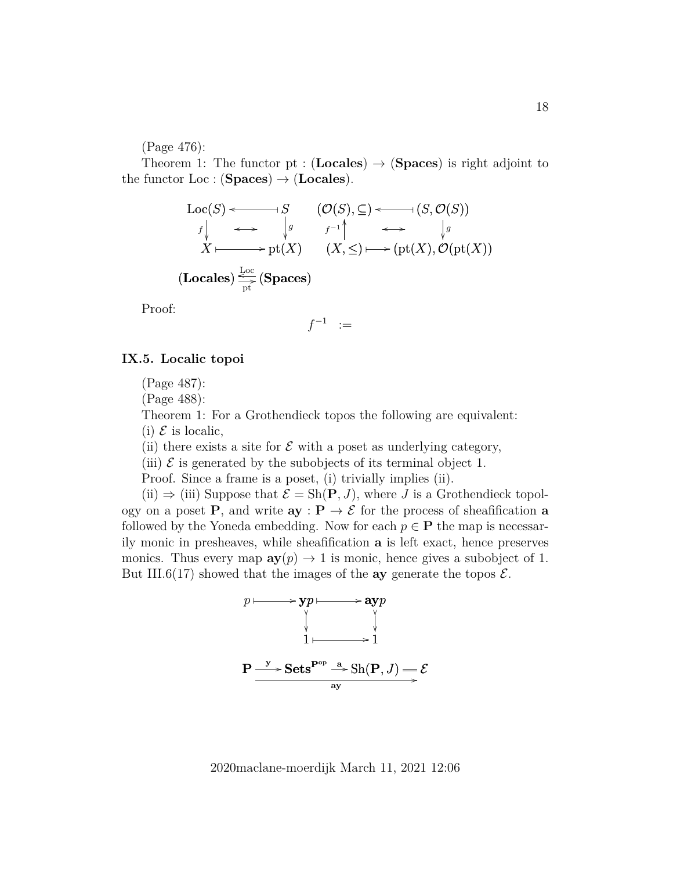(Page 476):

Theorem 1: The functor pt :  $(Locales) \rightarrow (Spaces)$  is right adjoint to the functor  $Loc:({\textbf Spaces}) \rightarrow {\textbf (Locales)}.$ 

$$
\begin{array}{ccc}\n\text{Loc}(S) & \longrightarrow & S & (\mathcal{O}(S), \subseteq) \longrightarrow & (S, \mathcal{O}(S)) \\
\downarrow & \longrightarrow & \downarrow g & f^{-1} \uparrow & \longrightarrow & \downarrow g \\
X \longmapsto & \text{pt}(X) & (X, \leq) \longmapsto (\text{pt}(X), \mathcal{O}(\text{pt}(X)) \\
(\text{Locales}) \stackrel{\text{Loc}}{\longrightarrow} & (\text{Spaces}) & \\
\uparrow & \text{pt}(X) & \text{Graces} & \text{str}(X)\n\end{array}
$$

Proof:

$$
f^{-1} \quad := \quad
$$

#### **IX.5. Localic topoi**

(Page 487):

(Page 488):

Theorem 1: For a Grothendieck topos the following are equivalent:

(i)  $\mathcal E$  is localic,

(ii) there exists a site for  $\mathcal E$  with a poset as underlying category,

(iii)  $\mathcal E$  is generated by the subobjects of its terminal object 1.

Proof. Since a frame is a poset, (i) trivially implies (ii).

(ii)  $\Rightarrow$  (iii) Suppose that  $\mathcal{E} = \text{Sh}(\mathbf{P}, J)$ , where J is a Grothendieck topology on a poset P, and write  $ay : P \to \mathcal{E}$  for the process of sheafification a followed by the Yoneda embedding. Now for each  $p \in \mathbf{P}$  the map is necessarily monic in presheaves, while sheafification a is left exact, hence preserves monics. Thus every map  $\mathbf{a}y(p) \to 1$  is monic, hence gives a subobject of 1. But III.6(17) showed that the images of the **ay** generate the topos  $\mathcal{E}$ .